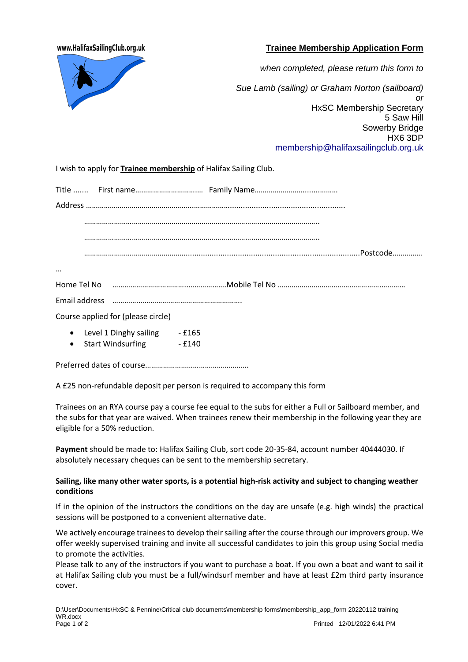www.HalifaxSailingClub.org.uk

## **Trainee Membership Application Form**



*when completed, please return this form to Sue Lamb (sailing) or Graham Norton (sailboard) or* HxSC Membership Secretary 5 Saw Hill Sowerby Bridge HX6 3DP [membership@halifaxsailingclub.org.uk](mailto:membership@halifaxsailingclub.org.uk)

I wish to apply for **Trainee membership** of Halifax Sailing Club.

| $\cdots$  |                                    |  |                                                                                                                     |
|-----------|------------------------------------|--|---------------------------------------------------------------------------------------------------------------------|
|           |                                    |  | Home Tel No music communication and an international Home Tel No music communication and all No music communication |
|           |                                    |  |                                                                                                                     |
|           | Course applied for (please circle) |  |                                                                                                                     |
|           | • Level 1 Dinghy sailing - £165    |  |                                                                                                                     |
| $\bullet$ | Start Windsurfing - £140           |  |                                                                                                                     |
|           |                                    |  |                                                                                                                     |

A £25 non-refundable deposit per person is required to accompany this form

Trainees on an RYA course pay a course fee equal to the subs for either a Full or Sailboard member, and the subs for that year are waived. When trainees renew their membership in the following year they are eligible for a 50% reduction.

**Payment** should be made to: Halifax Sailing Club, sort code 20-35-84, account number 40444030. If absolutely necessary cheques can be sent to the membership secretary.

## **Sailing, like many other water sports, is a potential high-risk activity and subject to changing weather conditions**

If in the opinion of the instructors the conditions on the day are unsafe (e.g. high winds) the practical sessions will be postponed to a convenient alternative date.

We actively encourage trainees to develop their sailing after the course through our improvers group. We offer weekly supervised training and invite all successful candidates to join this group using Social media to promote the activities.

Please talk to any of the instructors if you want to purchase a boat. If you own a boat and want to sail it at Halifax Sailing club you must be a full/windsurf member and have at least £2m third party insurance cover.